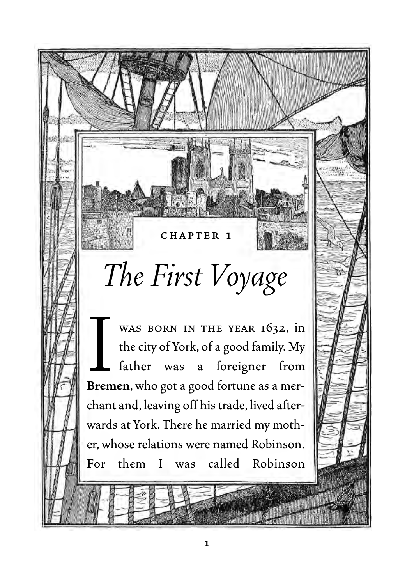## *The First Voyage*

**CHAPTER 1**

WAS BORN IN THE YEAR 1632, in<br>the city of York, of a good family. My<br>father was a foreigner from<br>**Bremen**, who got a good fortune as a merwas born in the year 1632, in the city of York, of a good family. My father was a foreigner from chant and, leaving off his trade, lived afterwards at York. There he married my mother, whose relations were named Robinson. For them I was called Robinson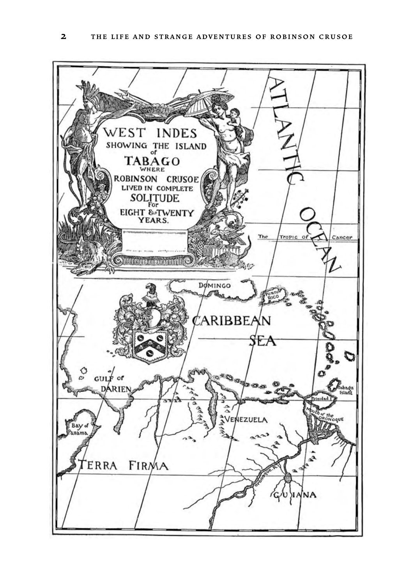WEST **INDES** SHOWING THE ISLAND TABAGO ROBINSON CRUSOE LIVED IN COMPLETE **SOLITUDE** EIGHT & TWENTY The Tropic Cancer <u> Erligesanssaaras</u> DOMINGO ARIBBEAN EA C  $GULF$  $\mathcal{O}^{\Phi}\mathcal{O}$ of ranage<br>Island **NEZUEL** B. ERRA FIRMA ΝA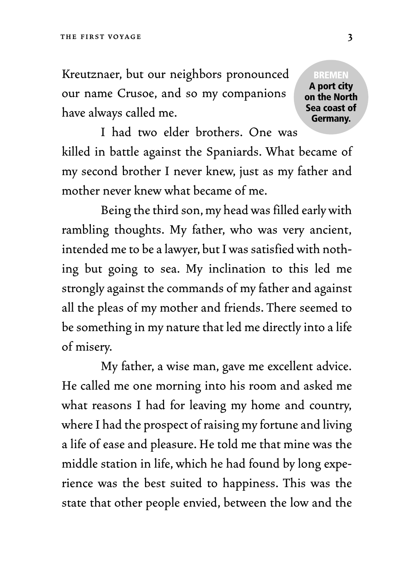Kreutznaer, but our neighbors pronounced our name Crusoe, and so my companions have always called me.

**BREMEN A port city on the North Sea coast of Germany.**

I had two elder brothers. One was killed in battle against the Spaniards. What became of my second brother I never knew, just as my father and mother never knew what became of me.

Being the third son, my head was filled early with rambling thoughts. My father, who was very ancient, intended me to be a lawyer, but I was satisfied with nothing but going to sea. My inclination to this led me strongly against the commands of my father and against all the pleas of my mother and friends. There seemed to be something in my nature that led me directly into a life of misery.

My father, a wise man, gave me excellent advice. He called me one morning into his room and asked me what reasons I had for leaving my home and country, where I had the prospect of raising my fortune and living a life of ease and pleasure. He told me that mine was the middle station in life, which he had found by long experience was the best suited to happiness. This was the state that other people envied, between the low and the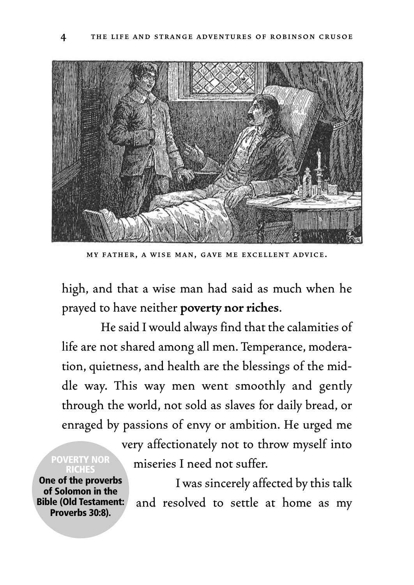

**MY FATHER , A WISE MAN, GAVE ME EXCELLENT ADVICE .**

high, and that a wise man had said as much when he prayed to have neither **poverty nor riches**.

He said I would always find that the calamities of life are not shared among all men. Temperance, moderation, quietness, and health are the blessings of the middle way. This way men went smoothly and gently through the world, not sold as slaves for daily bread, or enraged by passions of envy or ambition. He urged me

**POVERTY NOR RICHES**

**One of the proverbs of Solomon in the Bible (Old Testament: Proverbs 30:8).**

very affectionately not to throw myself into miseries I need not suffer.

I was sincerely affected by this talk and resolved to settle at home as my